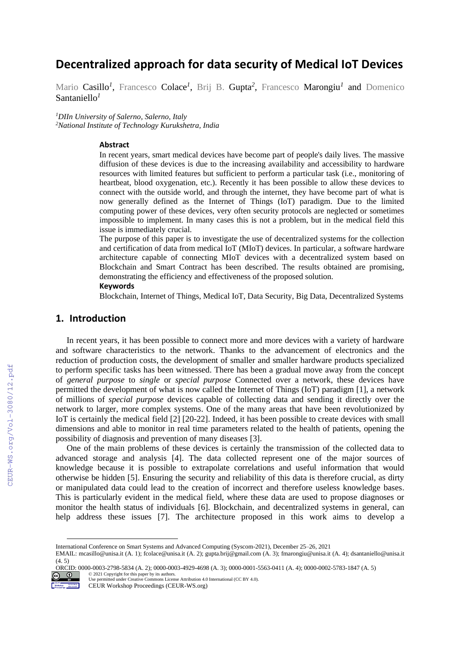# **Decentralized approach for data security of Medical IoT Devices**

Mario Casillo<sup>1</sup>, Francesco Colace<sup>1</sup>, Brij B. Gupta<sup>2</sup>, Francesco Marongiu<sup>1</sup> and Domenico Santaniello*<sup>1</sup>*

*<sup>1</sup>DIIn University of Salerno, Salerno, Italy <sup>2</sup>National Institute of Technology Kurukshetra, India*

#### **Abstract**

In recent years, smart medical devices have become part of people's daily lives. The massive diffusion of these devices is due to the increasing availability and accessibility to hardware resources with limited features but sufficient to perform a particular task (i.e., monitoring of heartbeat, blood oxygenation, etc.). Recently it has been possible to allow these devices to connect with the outside world, and through the internet, they have become part of what is now generally defined as the Internet of Things (IoT) paradigm. Due to the limited computing power of these devices, very often security protocols are neglected or sometimes impossible to implement. In many cases this is not a problem, but in the medical field this issue is immediately crucial.

The purpose of this paper is to investigate the use of decentralized systems for the collection and certification of data from medical IoT (MIoT) devices. In particular, a software hardware architecture capable of connecting MIoT devices with a decentralized system based on Blockchain and Smart Contract has been described. The results obtained are promising, demonstrating the efficiency and effectiveness of the proposed solution. **Keywords 1**

Blockchain, Internet of Things, Medical IoT, Data Security, Big Data, Decentralized Systems

## **1. Introduction**

In recent years, it has been possible to connect more and more devices with a variety of hardware and software characteristics to the network. Thanks to the advancement of electronics and the reduction of production costs, the development of smaller and smaller hardware products specialized to perform specific tasks has been witnessed. There has been a gradual move away from the concept of *general purpose* to *single* or *special purpose* Connected over a network, these devices have permitted the development of what is now called the Internet of Things (IoT) paradigm [1], a network of millions of *special purpose* devices capable of collecting data and sending it directly over the network to larger, more complex systems. One of the many areas that have been revolutionized by IoT is certainly the medical field [2] [20-22]. Indeed, it has been possible to create devices with small dimensions and able to monitor in real time parameters related to the health of patients, opening the possibility of diagnosis and prevention of many diseases [3].

One of the main problems of these devices is certainly the transmission of the collected data to advanced storage and analysis [4]. The data collected represent one of the major sources of knowledge because it is possible to extrapolate correlations and useful information that would otherwise be hidden [5]. Ensuring the security and reliability of this data is therefore crucial, as dirty or manipulated data could lead to the creation of incorrect and therefore useless knowledge bases. This is particularly evident in the medical field, where these data are used to propose diagnoses or monitor the health status of individuals [6]. Blockchain, and decentralized systems in general, can help address these issues [7]. The architecture proposed in this work aims to develop a

ORCID: 0000-0003-2798-5834 (A. 2); 0000-0003-4929-4698 (A. 3); 0000-0001-5563-0411 (A. 4); 0000-0002-5783-1847 (A. 5)  $\degree$  2021 Copyright for this paper by its authors.



 $CECR-WS$ .org/Vol-3080/12.pdf

International Conference on Smart Systems and Advanced Computing (Syscom-2021), December 25–26, 2021

EMAIL: mcasillo@unisa.it (A. 1); fcolace@unisa.it (A. 2); gupta.brij@gmail.com (A. 3); fmarongiu@unisa.it (A. 4); dsantaniello@unisa.it (4. 5)

Use permitted under Creative Commons License Attribution 4.0 International (CC BY 4.0). CEUR Workshop Proceedings (CEUR-WS.org)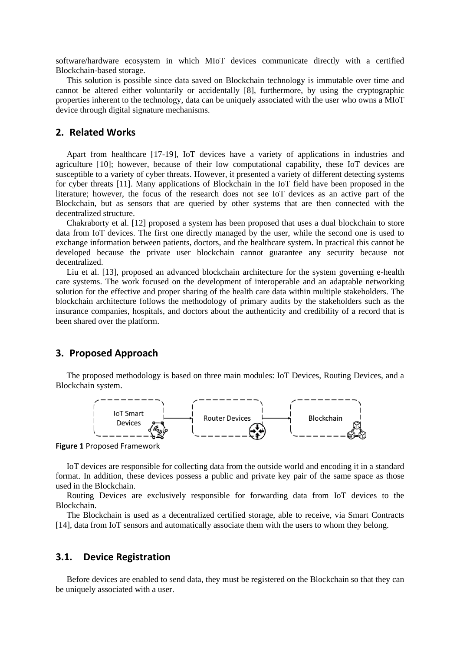software/hardware ecosystem in which MIoT devices communicate directly with a certified Blockchain-based storage.

This solution is possible since data saved on Blockchain technology is immutable over time and cannot be altered either voluntarily or accidentally [8], furthermore, by using the cryptographic properties inherent to the technology, data can be uniquely associated with the user who owns a MIoT device through digital signature mechanisms.

#### **2. Related Works**

Apart from healthcare [17-19], IoT devices have a variety of applications in industries and agriculture [10]; however, because of their low computational capability, these IoT devices are susceptible to a variety of cyber threats. However, it presented a variety of different detecting systems for cyber threats [11]. Many applications of Blockchain in the IoT field have been proposed in the literature; however, the focus of the research does not see IoT devices as an active part of the Blockchain, but as sensors that are queried by other systems that are then connected with the decentralized structure.

Chakraborty et al. [12] proposed a system has been proposed that uses a dual blockchain to store data from IoT devices. The first one directly managed by the user, while the second one is used to exchange information between patients, doctors, and the healthcare system. In practical this cannot be developed because the private user blockchain cannot guarantee any security because not decentralized.

Liu et al. [13], proposed an advanced blockchain architecture for the system governing e-health care systems. The work focused on the development of interoperable and an adaptable networking solution for the effective and proper sharing of the health care data within multiple stakeholders. The blockchain architecture follows the methodology of primary audits by the stakeholders such as the insurance companies, hospitals, and doctors about the authenticity and credibility of a record that is been shared over the platform.

## **3. Proposed Approach**

The proposed methodology is based on three main modules: IoT Devices, Routing Devices, and a Blockchain system.



**Figure 1** Proposed Framework

IoT devices are responsible for collecting data from the outside world and encoding it in a standard format. In addition, these devices possess a public and private key pair of the same space as those used in the Blockchain.

Routing Devices are exclusively responsible for forwarding data from IoT devices to the Blockchain.

The Blockchain is used as a decentralized certified storage, able to receive, via Smart Contracts [14], data from IoT sensors and automatically associate them with the users to whom they belong.

#### **3.1. Device Registration**

Before devices are enabled to send data, they must be registered on the Blockchain so that they can be uniquely associated with a user.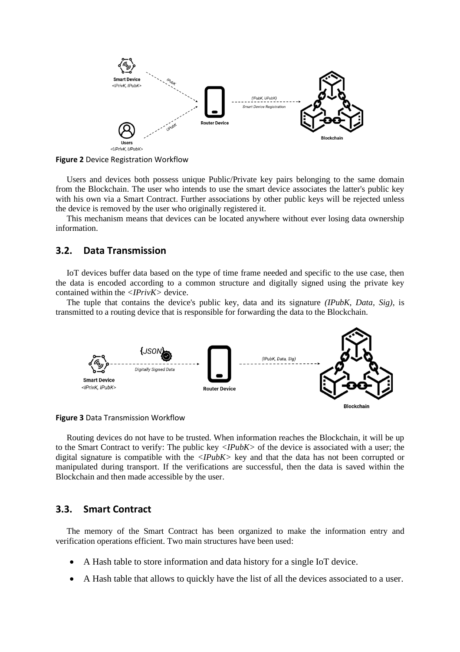

**Figure 2** Device Registration Workflow

Users and devices both possess unique Public/Private key pairs belonging to the same domain from the Blockchain. The user who intends to use the smart device associates the latter's public key with his own via a Smart Contract. Further associations by other public keys will be rejected unless the device is removed by the user who originally registered it.

This mechanism means that devices can be located anywhere without ever losing data ownership information.

#### **3.2. Data Transmission**

IoT devices buffer data based on the type of time frame needed and specific to the use case, then the data is encoded according to a common structure and digitally signed using the private key contained within the *<IPrivK>* device.

The tuple that contains the device's public key, data and its signature *(IPubK, Data, Sig)*, is transmitted to a routing device that is responsible for forwarding the data to the Blockchain.





Routing devices do not have to be trusted. When information reaches the Blockchain, it will be up to the Smart Contract to verify: The public key *<IPubK>* of the device is associated with a user; the digital signature is compatible with the *<IPubK>* key and that the data has not been corrupted or manipulated during transport. If the verifications are successful, then the data is saved within the Blockchain and then made accessible by the user.

#### **3.3. Smart Contract**

The memory of the Smart Contract has been organized to make the information entry and verification operations efficient. Two main structures have been used:

- A Hash table to store information and data history for a single IoT device.
- A Hash table that allows to quickly have the list of all the devices associated to a user.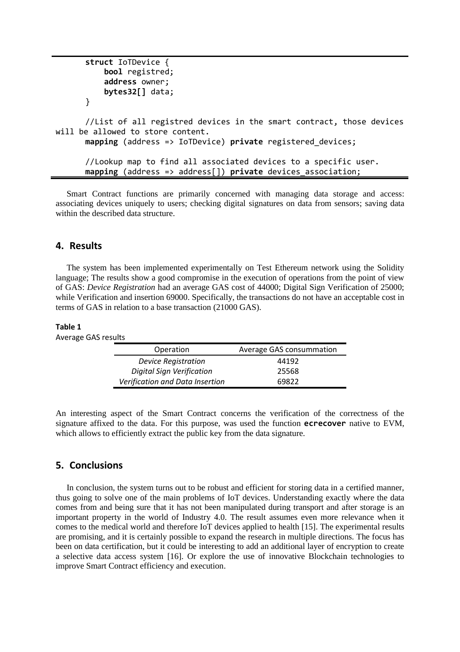```
 struct IoTDevice {
           bool registred;
            address owner;
           bytes32[] data;
       }
       //List of all registred devices in the smart contract, those devices 
will be allowed to store content.
       mapping (address => IoTDevice) private registered_devices;
       //Lookup map to find all associated devices to a specific user.
       mapping (address => address[]) private devices_association;
```
Smart Contract functions are primarily concerned with managing data storage and access: associating devices uniquely to users; checking digital signatures on data from sensors; saving data within the described data structure.

#### **4. Results**

The system has been implemented experimentally on Test Ethereum network using the Solidity language; The results show a good compromise in the execution of operations from the point of view of GAS: *Device Registration* had an average GAS cost of 44000; Digital Sign Verification of 25000; while Verification and insertion 69000. Specifically, the transactions do not have an acceptable cost in terms of GAS in relation to a base transaction (21000 GAS).

#### **Table 1**

Average GAS results

| Operation                       | Average GAS consummation |
|---------------------------------|--------------------------|
| <b>Device Registration</b>      | 44192                    |
| Digital Sign Verification       | 25568                    |
| Verification and Data Insertion | 69822                    |

An interesting aspect of the Smart Contract concerns the verification of the correctness of the signature affixed to the data. For this purpose, was used the function **ecrecover** native to EVM, which allows to efficiently extract the public key from the data signature.

#### **5. Conclusions**

In conclusion, the system turns out to be robust and efficient for storing data in a certified manner, thus going to solve one of the main problems of IoT devices. Understanding exactly where the data comes from and being sure that it has not been manipulated during transport and after storage is an important property in the world of Industry 4.0. The result assumes even more relevance when it comes to the medical world and therefore IoT devices applied to health [15]. The experimental results are promising, and it is certainly possible to expand the research in multiple directions. The focus has been on data certification, but it could be interesting to add an additional layer of encryption to create a selective data access system [16]. Or explore the use of innovative Blockchain technologies to improve Smart Contract efficiency and execution.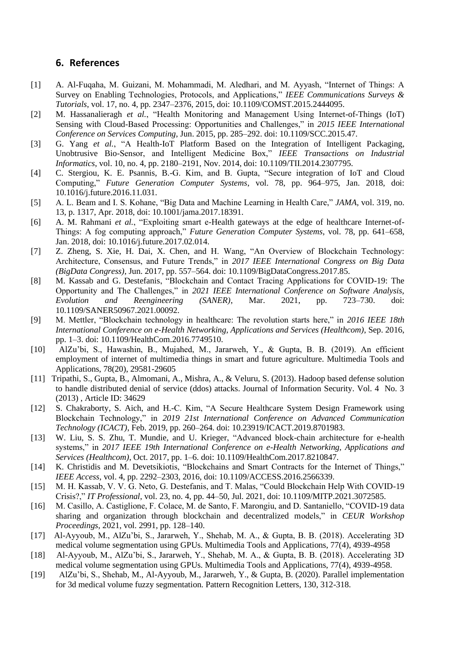## **6. References**

- [1] A. Al-Fuqaha, M. Guizani, M. Mohammadi, M. Aledhari, and M. Ayyash, "Internet of Things: A Survey on Enabling Technologies, Protocols, and Applications," *IEEE Communications Surveys & Tutorials*, vol. 17, no. 4, pp. 2347–2376, 2015, doi: 10.1109/COMST.2015.2444095.
- [2] M. Hassanalieragh *et al.*, "Health Monitoring and Management Using Internet-of-Things (IoT) Sensing with Cloud-Based Processing: Opportunities and Challenges," in *2015 IEEE International Conference on Services Computing*, Jun. 2015, pp. 285–292. doi: 10.1109/SCC.2015.47.
- [3] G. Yang *et al.*, "A Health-IoT Platform Based on the Integration of Intelligent Packaging, Unobtrusive Bio-Sensor, and Intelligent Medicine Box," *IEEE Transactions on Industrial Informatics*, vol. 10, no. 4, pp. 2180–2191, Nov. 2014, doi: 10.1109/TII.2014.2307795.
- [4] C. Stergiou, K. E. Psannis, B.-G. Kim, and B. Gupta, "Secure integration of IoT and Cloud Computing," *Future Generation Computer Systems*, vol. 78, pp. 964–975, Jan. 2018, doi: 10.1016/j.future.2016.11.031.
- [5] A. L. Beam and I. S. Kohane, "Big Data and Machine Learning in Health Care," *JAMA*, vol. 319, no. 13, p. 1317, Apr. 2018, doi: 10.1001/jama.2017.18391.
- [6] A. M. Rahmani *et al.*, "Exploiting smart e-Health gateways at the edge of healthcare Internet-of-Things: A fog computing approach," *Future Generation Computer Systems*, vol. 78, pp. 641–658, Jan. 2018, doi: 10.1016/j.future.2017.02.014.
- [7] Z. Zheng, S. Xie, H. Dai, X. Chen, and H. Wang, "An Overview of Blockchain Technology: Architecture, Consensus, and Future Trends," in *2017 IEEE International Congress on Big Data (BigData Congress)*, Jun. 2017, pp. 557–564. doi: 10.1109/BigDataCongress.2017.85.
- [8] M. Kassab and G. Destefanis, "Blockchain and Contact Tracing Applications for COVID-19: The Opportunity and The Challenges," in *2021 IEEE International Conference on Software Analysis, Evolution and Reengineering (SANER)*, Mar. 2021, pp. 723–730. doi: 10.1109/SANER50967.2021.00092.
- [9] M. Mettler, "Blockchain technology in healthcare: The revolution starts here," in *2016 IEEE 18th International Conference on e-Health Networking, Applications and Services (Healthcom)*, Sep. 2016, pp. 1–3. doi: 10.1109/HealthCom.2016.7749510.
- [10] AlZu'bi, S., Hawashin, B., Mujahed, M., Jararweh, Y., & Gupta, B. B. (2019). An efficient employment of internet of multimedia things in smart and future agriculture. Multimedia Tools and Applications, 78(20), 29581-29605
- [11] Tripathi, S., Gupta, B., Almomani, A., Mishra, A., & Veluru, S. (2013). Hadoop based defense solution to handle distributed denial of service (ddos) attacks. Journal of Information Security. Vol. 4 No. 3 (2013) , Article ID: 34629
- [12] S. Chakraborty, S. Aich, and H.-C. Kim, "A Secure Healthcare System Design Framework using Blockchain Technology," in *2019 21st International Conference on Advanced Communication Technology (ICACT)*, Feb. 2019, pp. 260–264. doi: 10.23919/ICACT.2019.8701983.
- [13] W. Liu, S. S. Zhu, T. Mundie, and U. Krieger, "Advanced block-chain architecture for e-health systems," in *2017 IEEE 19th International Conference on e-Health Networking, Applications and Services (Healthcom)*, Oct. 2017, pp. 1–6. doi: 10.1109/HealthCom.2017.8210847.
- [14] K. Christidis and M. Devetsikiotis, "Blockchains and Smart Contracts for the Internet of Things," *IEEE Access*, vol. 4, pp. 2292–2303, 2016, doi: 10.1109/ACCESS.2016.2566339.
- [15] M. H. Kassab, V. V. G. Neto, G. Destefanis, and T. Malas, "Could Blockchain Help With COVID-19 Crisis?," *IT Professional*, vol. 23, no. 4, pp. 44–50, Jul. 2021, doi: 10.1109/MITP.2021.3072585.
- [16] M. Casillo, A. Castiglione, F. Colace, M. de Santo, F. Marongiu, and D. Santaniello, "COVID-19 data sharing and organization through blockchain and decentralized models," in *CEUR Workshop Proceedings*, 2021, vol. 2991, pp. 128–140.
- [17] Al-Ayyoub, M., AlZu'bi, S., Jararweh, Y., Shehab, M. A., & Gupta, B. B. (2018). Accelerating 3D medical volume segmentation using GPUs. Multimedia Tools and Applications, 77(4), 4939-4958
- [18] Al-Ayyoub, M., AlZu'bi, S., Jararweh, Y., Shehab, M. A., & Gupta, B. B. (2018). Accelerating 3D medical volume segmentation using GPUs. Multimedia Tools and Applications, 77(4), 4939-4958.
- [19] AlZu'bi, S., Shehab, M., Al-Ayyoub, M., Jararweh, Y., & Gupta, B. (2020). Parallel implementation for 3d medical volume fuzzy segmentation. Pattern Recognition Letters, 130, 312-318.